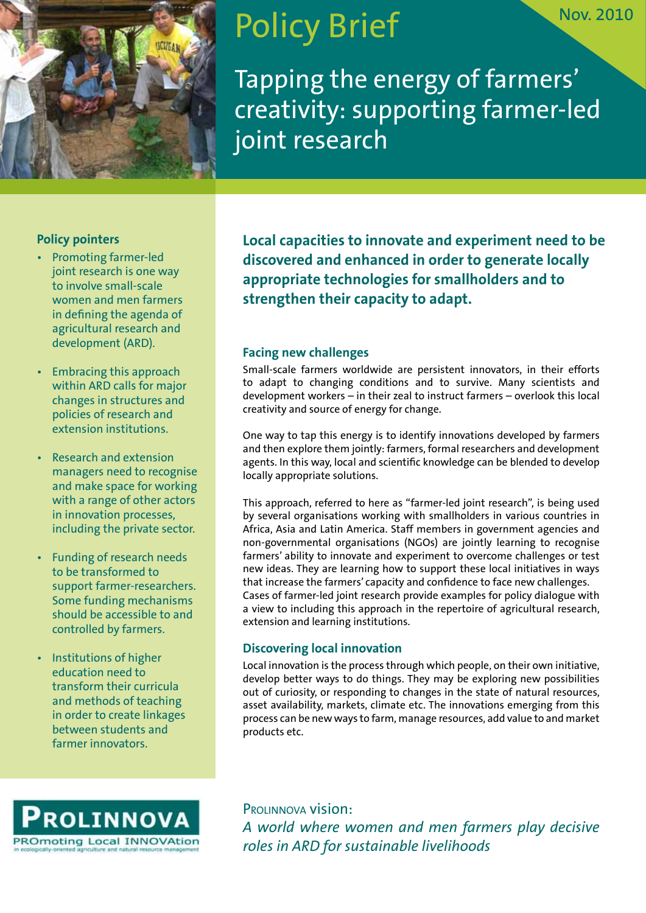

# Policy Brief

Tapping the energy of farmers' creativity: supporting farmer-led joint research

## **Policy pointers**

- Promoting farmer-led joint research is one way to involve small-scale women and men farmers in defining the agenda of agricultural research and development (ARD).
- Embracing this approach within ARD calls for major changes in structures and policies of research and extension institutions.
- Research and extension managers need to recognise and make space for working with a range of other actors in innovation processes, including the private sector.
- Funding of research needs to be transformed to support farmer-researchers. Some funding mechanisms should be accessible to and controlled by farmers.
- Institutions of higher education need to transform their curricula and methods of teaching in order to create linkages between students and farmer innovators.



**Local capacities to innovate and experiment need to be discovered and enhanced in order to generate locally appropriate technologies for smallholders and to strengthen their capacity to adapt.** 

## **Facing new challenges**

Small-scale farmers worldwide are persistent innovators, in their efforts to adapt to changing conditions and to survive. Many scientists and development workers – in their zeal to instruct farmers – overlook this local creativity and source of energy for change.

One way to tap this energy is to identify innovations developed by farmers and then explore them jointly: farmers, formal researchers and development agents. In this way, local and scientific knowledge can be blended to develop locally appropriate solutions.

This approach, referred to here as "farmer-led joint research", is being used by several organisations working with smallholders in various countries in Africa, Asia and Latin America. Staff members in government agencies and non-governmental organisations (NGOs) are jointly learning to recognise farmers' ability to innovate and experiment to overcome challenges or test new ideas. They are learning how to support these local initiatives in ways that increase the farmers' capacity and confidence to face new challenges. Cases of farmer-led joint research provide examples for policy dialogue with a view to including this approach in the repertoire of agricultural research, extension and learning institutions.

## **Discovering local innovation**

Local innovation is the process through which people, on their own initiative, develop better ways to do things. They may be exploring new possibilities out of curiosity, or responding to changes in the state of natural resources, asset availability, markets, climate etc. The innovations emerging from this process can be new ways to farm, manage resources, add value to and market products etc.

Prolinnova vision: *A world where women and men farmers play decisive roles in ARD for sustainable livelihoods*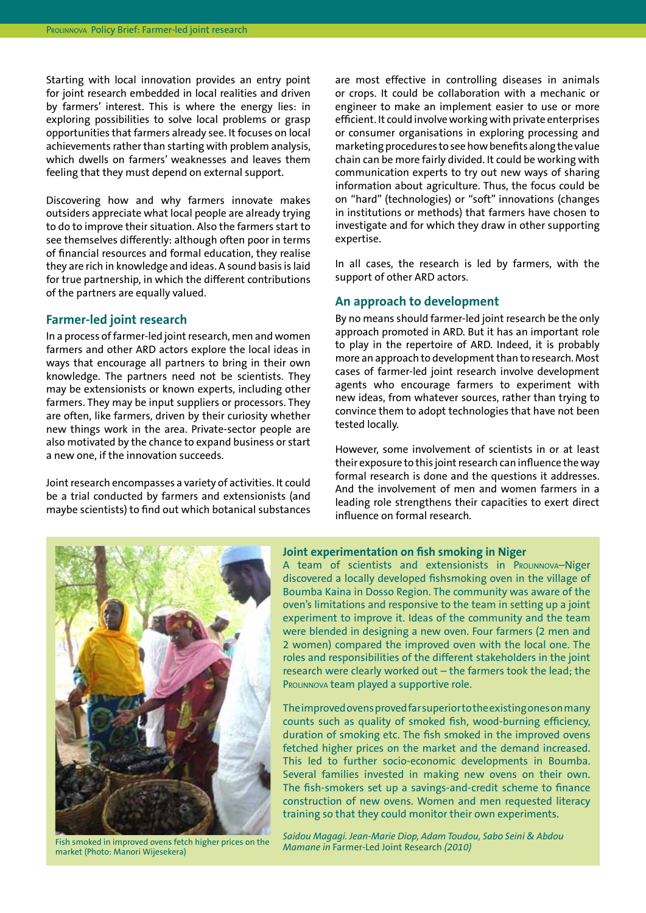Starting with local innovation provides an entry point for joint research embedded in local realities and driven by farmers' interest. This is where the energy lies: in exploring possibilities to solve local problems or grasp opportunities that farmers already see. It focuses on local achievements rather than starting with problem analysis, which dwells on farmers' weaknesses and leaves them feeling that they must depend on external support.

Discovering how and why farmers innovate makes outsiders appreciate what local people are already trying to do to improve their situation. Also the farmers start to see themselves differently: although often poor in terms of financial resources and formal education, they realise they are rich in knowledge and ideas. A sound basis is laid for true partnership, in which the different contributions of the partners are equally valued.

#### **Farmer-led joint research**

In a process of farmer-led joint research, men and women farmers and other ARD actors explore the local ideas in ways that encourage all partners to bring in their own knowledge. The partners need not be scientists. They may be extensionists or known experts, including other farmers. They may be input suppliers or processors. They are often, like farmers, driven by their curiosity whether new things work in the area. Private-sector people are also motivated by the chance to expand business or start a new one, if the innovation succeeds.

Joint research encompasses a variety of activities. It could be a trial conducted by farmers and extensionists (and maybe scientists) to find out which botanical substances are most effective in controlling diseases in animals or crops. It could be collaboration with a mechanic or engineer to make an implement easier to use or more efficient. It could involve working with private enterprises or consumer organisations in exploring processing and marketing procedures to see how benefits along the value chain can be more fairly divided. It could be working with communication experts to try out new ways of sharing information about agriculture. Thus, the focus could be on "hard" (technologies) or "soft" innovations (changes in institutions or methods) that farmers have chosen to investigate and for which they draw in other supporting expertise.

In all cases, the research is led by farmers, with the support of other ARD actors.

#### **An approach to development**

By no means should farmer-led joint research be the only approach promoted in ARD. But it has an important role to play in the repertoire of ARD. Indeed, it is probably more an approach to development than to research. Most cases of farmer-led joint research involve development agents who encourage farmers to experiment with new ideas, from whatever sources, rather than trying to convince them to adopt technologies that have not been tested locally.

However, some involvement of scientists in or at least their exposure to this joint research can influence the way formal research is done and the questions it addresses. And the involvement of men and women farmers in a leading role strengthens their capacities to exert direct influence on formal research.



market (Photo: Manori Wijesekera)

#### **Joint experimentation on fish smoking in Niger**

A team of scientists and extensionists in Prolinnova–Niger discovered a locally developed fishsmoking oven in the village of Boumba Kaina in Dosso Region. The community was aware of the oven's limitations and responsive to the team in setting up a joint experiment to improve it. Ideas of the community and the team were blended in designing a new oven. Four farmers (2 men and 2 women) compared the improved oven with the local one. The roles and responsibilities of the different stakeholders in the joint research were clearly worked out – the farmers took the lead; the PROLINNOVA team played a supportive role.

The improved ovens proved far superior to the existing ones on many counts such as quality of smoked fish, wood-burning efficiency, duration of smoking etc. The fish smoked in the improved ovens fetched higher prices on the market and the demand increased. This led to further socio-economic developments in Boumba. Several families invested in making new ovens on their own. The fish-smokers set up a savings-and-credit scheme to finance construction of new ovens. Women and men requested literacy training so that they could monitor their own experiments.

*Saidou Magagi. Jean-Marie Diop, Adam Toudou, Sabo Seini & Abdou Mamane in* Farmer-Led Joint Research *(2010)* Fish smoked in improved ovens fetch higher prices on the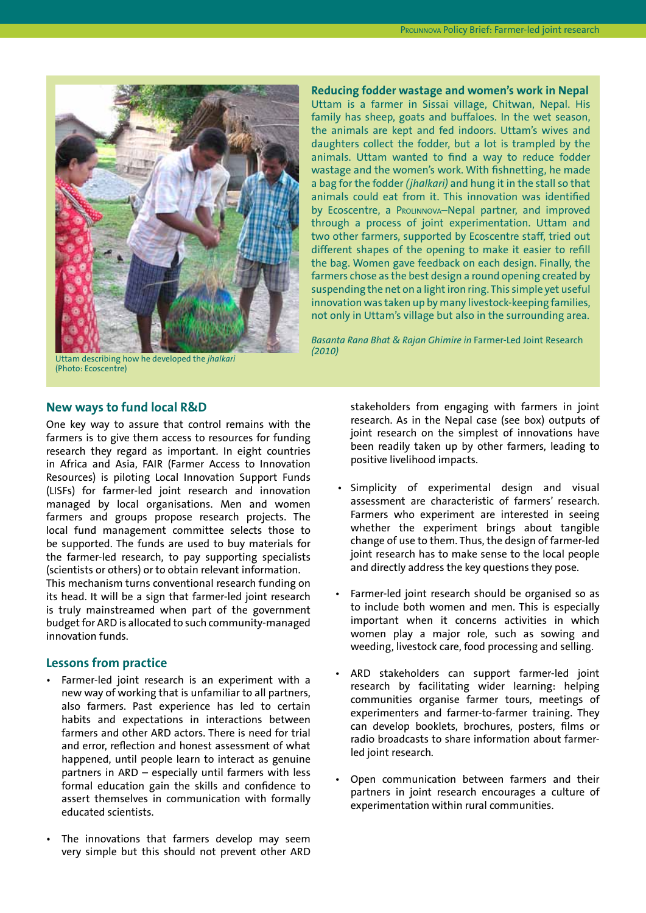

Uttam describing how he developed the *jhalkari*  (Photo: Ecoscentre)

**Reducing fodder wastage and women's work in Nepal** Uttam is a farmer in Sissai village, Chitwan, Nepal. His family has sheep, goats and buffaloes. In the wet season, the animals are kept and fed indoors. Uttam's wives and daughters collect the fodder, but a lot is trampled by the animals. Uttam wanted to find a way to reduce fodder wastage and the women's work. With fishnetting, he made a bag for the fodder *(jhalkari)* and hung it in the stall so that animals could eat from it. This innovation was identified by Ecoscentre, a Prolinnova–Nepal partner, and improved through a process of joint experimentation. Uttam and two other farmers, supported by Ecoscentre staff, tried out different shapes of the opening to make it easier to refill the bag. Women gave feedback on each design. Finally, the farmers chose as the best design a round opening created by suspending the net on a light iron ring. This simple yet useful innovation was taken up by many livestock-keeping families, not only in Uttam's village but also in the surrounding area.

*Basanta Rana Bhat & Rajan Ghimire in* Farmer-Led Joint Research *(2010)*

## **New ways to fund local R&D**

One key way to assure that control remains with the farmers is to give them access to resources for funding research they regard as important. In eight countries in Africa and Asia, FAIR (Farmer Access to Innovation Resources) is piloting Local Innovation Support Funds (LISFs) for farmer-led joint research and innovation managed by local organisations. Men and women farmers and groups propose research projects. The local fund management committee selects those to be supported. The funds are used to buy materials for the farmer-led research, to pay supporting specialists (scientists or others) or to obtain relevant information.

This mechanism turns conventional research funding on its head. It will be a sign that farmer-led joint research is truly mainstreamed when part of the government budget for ARD is allocated to such community-managed innovation funds.

#### **Lessons from practice**

- Farmer-led joint research is an experiment with a new way of working that is unfamiliar to all partners, also farmers. Past experience has led to certain habits and expectations in interactions between farmers and other ARD actors. There is need for trial and error, reflection and honest assessment of what happened, until people learn to interact as genuine partners in ARD – especially until farmers with less formal education gain the skills and confidence to assert themselves in communication with formally educated scientists.
- The innovations that farmers develop may seem very simple but this should not prevent other ARD

stakeholders from engaging with farmers in joint research. As in the Nepal case (see box) outputs of joint research on the simplest of innovations have been readily taken up by other farmers, leading to positive livelihood impacts.

- Simplicity of experimental design and visual assessment are characteristic of farmers' research. Farmers who experiment are interested in seeing whether the experiment brings about tangible change of use to them. Thus, the design of farmer-led joint research has to make sense to the local people and directly address the key questions they pose.
- Farmer-led joint research should be organised so as to include both women and men. This is especially important when it concerns activities in which women play a major role, such as sowing and weeding, livestock care, food processing and selling.
- ARD stakeholders can support farmer-led joint research by facilitating wider learning: helping communities organise farmer tours, meetings of experimenters and farmer-to-farmer training. They can develop booklets, brochures, posters, films or radio broadcasts to share information about farmerled joint research.
- Open communication between farmers and their partners in joint research encourages a culture of experimentation within rural communities.